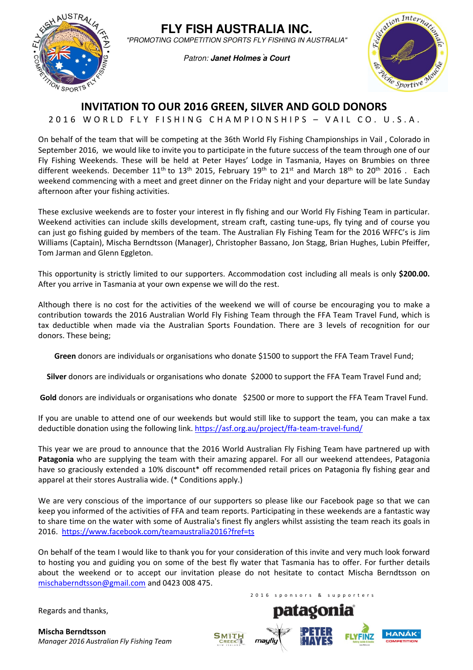

**FLY FISH AUSTRALIA INC.** "PROMOTING COMPETITION SPORTS FLY FISHING IN AUSTRALIA"

Patron: Janet Holmes<sup>'</sup> a Court



## INVITATION TO OUR 2016 GREEN, SILVER AND GOLD DONORS

2016 WORLD FLY FISHING CHAMPIONSHIPS - VAIL CO. U.S.A.

On behalf of the team that will be competing at the 36th World Fly Fishing Championships in Vail , Colorado in September 2016, we would like to invite you to participate in the future success of the team through one of our Fly Fishing Weekends. These will be held at Peter Hayes' Lodge in Tasmania, Hayes on Brumbies on three different weekends. December 11<sup>th</sup> to 13<sup>th</sup> 2015, February 19<sup>th</sup> to 21<sup>st</sup> and March 18<sup>th</sup> to 20<sup>th</sup> 2016. Each weekend commencing with a meet and greet dinner on the Friday night and your departure will be late Sunday afternoon after your fishing activities.

These exclusive weekends are to foster your interest in fly fishing and our World Fly Fishing Team in particular. Weekend activities can include skills development, stream craft, casting tune-ups, fly tying and of course you can just go fishing guided by members of the team. The Australian Fly Fishing Team for the 2016 WFFC's is Jim Williams (Captain), Mischa Berndtsson (Manager), Christopher Bassano, Jon Stagg, Brian Hughes, Lubin Pfeiffer, Tom Jarman and Glenn Eggleton.

This opportunity is strictly limited to our supporters. Accommodation cost including all meals is only \$200.00. After you arrive in Tasmania at your own expense we will do the rest.

Although there is no cost for the activities of the weekend we will of course be encouraging you to make a contribution towards the 2016 Australian World Fly Fishing Team through the FFA Team Travel Fund, which is tax deductible when made via the Australian Sports Foundation. There are 3 levels of recognition for our donors. These being;

Green donors are individuals or organisations who donate \$1500 to support the FFA Team Travel Fund;

Silver donors are individuals or organisations who donate \$2000 to support the FFA Team Travel Fund and;

Gold donors are individuals or organisations who donate \$2500 or more to support the FFA Team Travel Fund.

If you are unable to attend one of our weekends but would still like to support the team, you can make a tax deductible donation using the following link. https://asf.org.au/project/ffa-team-travel-fund/

This year we are proud to announce that the 2016 World Australian Fly Fishing Team have partnered up with Patagonia who are supplying the team with their amazing apparel. For all our weekend attendees, Patagonia have so graciously extended a 10% discount\* off recommended retail prices on Patagonia fly fishing gear and apparel at their stores Australia wide. (\* Conditions apply.)

We are very conscious of the importance of our supporters so please like our Facebook page so that we can keep you informed of the activities of FFA and team reports. Participating in these weekends are a fantastic way to share time on the water with some of Australia's finest fly anglers whilst assisting the team reach its goals in 2016. https://www.facebook.com/teamaustralia2016?fref=ts

On behalf of the team I would like to thank you for your consideration of this invite and very much look forward to hosting you and guiding you on some of the best fly water that Tasmania has to offer. For further details about the weekend or to accept our invitation please do not hesitate to contact Mischa Berndtsson on mischaberndtsson@gmail.com and 0423 008 475.

Regards and thanks,

Mischa Berndtsson Manager 2016 Australian Fly Fishing Team